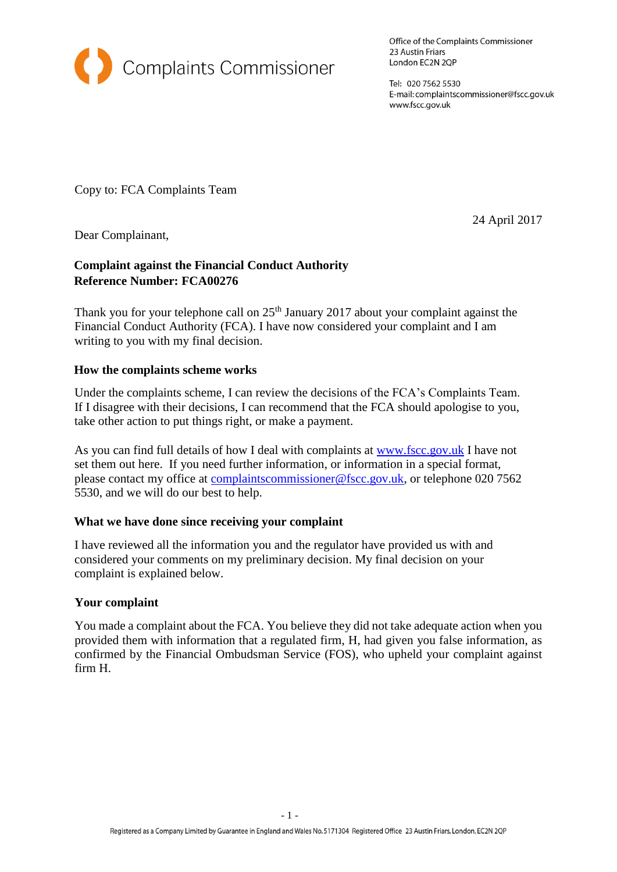

Office of the Complaints Commissioner 23 Austin Friars London EC2N 2QP

Tel: 020 7562 5530 E-mail: complaintscommissioner@fscc.gov.uk www.fscc.gov.uk

Copy to: FCA Complaints Team

24 April 2017

Dear Complainant,

# **Complaint against the Financial Conduct Authority Reference Number: FCA00276**

Thank you for your telephone call on  $25<sup>th</sup>$  January 2017 about your complaint against the Financial Conduct Authority (FCA). I have now considered your complaint and I am writing to you with my final decision.

## **How the complaints scheme works**

Under the complaints scheme, I can review the decisions of the FCA's Complaints Team. If I disagree with their decisions, I can recommend that the FCA should apologise to you, take other action to put things right, or make a payment.

As you can find full details of how I deal with complaints at [www.fscc.gov.uk](http://www.fscc.gov.uk/) [I](http://www.fscc.gov.uk/) have not set them out here. If you need further information, or information in a special format, please contact my office at complaintscommissioner@fscc.gov.uk, or telephone 020 7562 5530, and we will do our best to help.

## **What we have done since receiving your complaint**

I have reviewed all the information you and the regulator have provided us with and considered your comments on my preliminary decision. My final decision on your complaint is explained below.

## **Your complaint**

You made a complaint about the FCA. You believe they did not take adequate action when you provided them with information that a regulated firm, H, had given you false information, as confirmed by the Financial Ombudsman Service (FOS), who upheld your complaint against firm H.